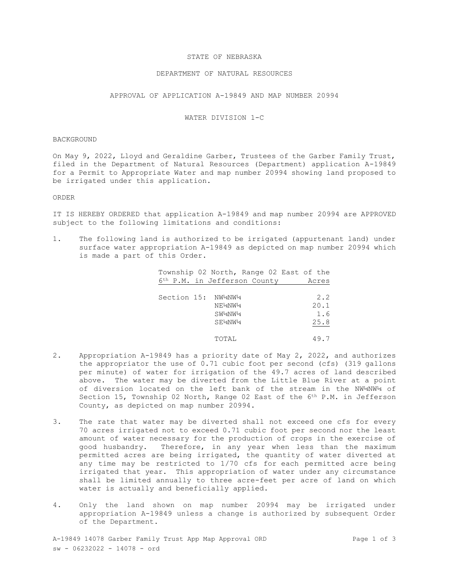### STATE OF NEBRASKA

# DEPARTMENT OF NATURAL RESOURCES

# APPROVAL OF APPLICATION A-19849 AND MAP NUMBER 20994

# WATER DIVISION 1-C

#### BACKGROUND

On May 9, 2022, Lloyd and Geraldine Garber, Trustees of the Garber Family Trust, filed in the Department of Natural Resources (Department) application A-19849 for a Permit to Appropriate Water and map number 20994 showing land proposed to be irrigated under this application.

#### ORDER

IT IS HEREBY ORDERED that application A-19849 and map number 20994 are APPROVED subject to the following limitations and conditions:

1. The following land is authorized to be irrigated (appurtenant land) under surface water appropriation A-19849 as depicted on map number 20994 which is made a part of this Order.

| Township 02 North, Range 02 East of the  |       |
|------------------------------------------|-------|
| 6 <sup>th</sup> P.M. in Jefferson County | Acres |
|                                          |       |
| Section 15: NW4NW4                       | 2.2   |
| NE½NW¼                                   | 20.1  |
| SW2NW24                                  | 1.6   |
| SEMNW <sub>4</sub>                       | 25.8  |
|                                          |       |
| TOTAL                                    | 49.7  |

- 2. Appropriation A-19849 has a priority date of May 2, 2022, and authorizes the appropriator the use of 0.71 cubic foot per second (cfs) (319 gallons per minute) of water for irrigation of the 49.7 acres of land described above. The water may be diverted from the Little Blue River at a point of diversion located on the left bank of the stream in the NW¼NW¼ of Section 15, Township 02 North, Range 02 East of the 6<sup>th</sup> P.M. in Jefferson County, as depicted on map number 20994.
- 3. The rate that water may be diverted shall not exceed one cfs for every 70 acres irrigated not to exceed 0.71 cubic foot per second nor the least amount of water necessary for the production of crops in the exercise of good husbandry.Therefore, in any year when less than the maximum permitted acres are being irrigated, the quantity of water diverted at any time may be restricted to 1/70 cfs for each permitted acre being irrigated that year. This appropriation of water under any circumstance shall be limited annually to three acre-feet per acre of land on which water is actually and beneficially applied.
- 4. Only the land shown on map number 20994 may be irrigated under appropriation A-19849 unless a change is authorized by subsequent Order of the Department.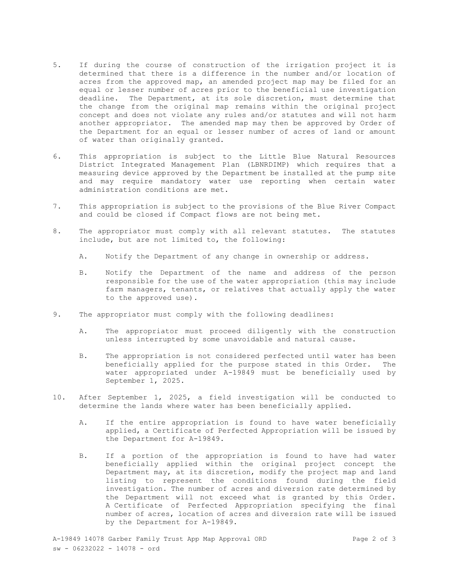- 5. If during the course of construction of the irrigation project it is determined that there is a difference in the number and/or location of acres from the approved map, an amended project map may be filed for an equal or lesser number of acres prior to the beneficial use investigation deadline. The Department, at its sole discretion, must determine that the change from the original map remains within the original project concept and does not violate any rules and/or statutes and will not harm another appropriator. The amended map may then be approved by Order of the Department for an equal or lesser number of acres of land or amount of water than originally granted.
- 6. This appropriation is subject to the Little Blue Natural Resources District Integrated Management Plan (LBNRDIMP) which requires that a measuring device approved by the Department be installed at the pump site and may require mandatory water use reporting when certain water administration conditions are met.
- 7. This appropriation is subject to the provisions of the Blue River Compact and could be closed if Compact flows are not being met.
- 8. The appropriator must comply with all relevant statutes. The statutes include, but are not limited to, the following:
	- A. Notify the Department of any change in ownership or address.
	- B. Notify the Department of the name and address of the person responsible for the use of the water appropriation (this may include farm managers, tenants, or relatives that actually apply the water to the approved use).
- 9. The appropriator must comply with the following deadlines:
	- A. The appropriator must proceed diligently with the construction unless interrupted by some unavoidable and natural cause.
	- B. The appropriation is not considered perfected until water has been beneficially applied for the purpose stated in this Order. The water appropriated under A-19849 must be beneficially used by September 1, 2025.
- 10. After September 1, 2025, a field investigation will be conducted to determine the lands where water has been beneficially applied.
	- A. If the entire appropriation is found to have water beneficially applied, a Certificate of Perfected Appropriation will be issued by the Department for A-19849.
	- B. If a portion of the appropriation is found to have had water beneficially applied within the original project concept the Department may, at its discretion, modify the project map and land listing to represent the conditions found during the field investigation. The number of acres and diversion rate determined by the Department will not exceed what is granted by this Order. A Certificate of Perfected Appropriation specifying the final number of acres, location of acres and diversion rate will be issued by the Department for A-19849.